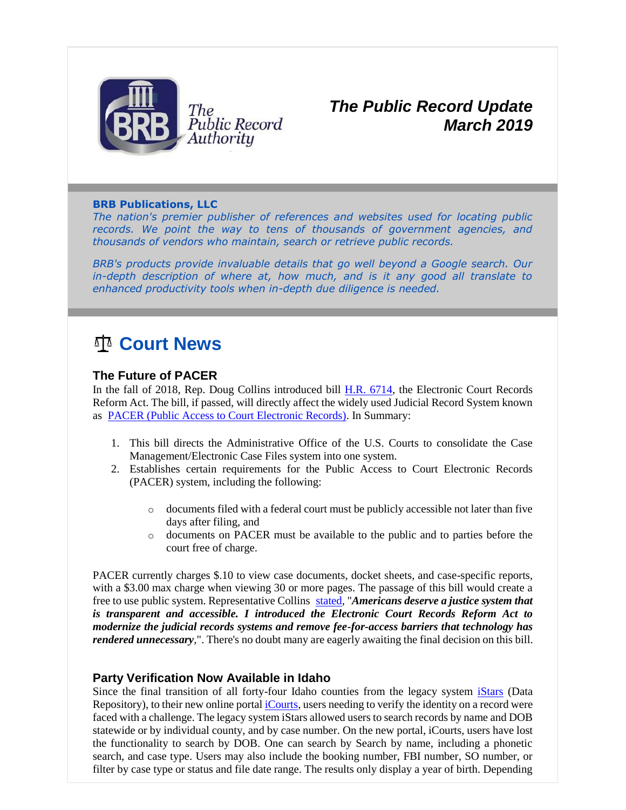

### *The Public Record Update March 2019*

#### **BRB Publications, LLC**

*The nation's premier publisher of references and websites used for locating public*  records. We point the way to tens of thousands of government agencies, and *thousands of vendors who maintain, search or retrieve public records.*

*BRB's products provide invaluable details that go well beyond a Google search. Our in-depth description of where at, how much, and is it any good all translate to enhanced productivity tools when in-depth due diligence is needed.*

# **Court News**

#### **The Future of PACER**

In the fall of 2018, Rep. Doug Collins introduced bill [H.R. 6714,](http://r20.rs6.net/tn.jsp?t=gk6dpr5ab.0.0.zlhs65bab.0&id=preview&r=3&p=https%3A%2F%2Fwww.congress.gov%2Fbill%2F115th-congress%2Fhouse-bill%2F6714) the Electronic Court Records Reform Act. The bill, if passed, will directly affect the widely used Judicial Record System known as [PACER \(Public Access to Court Electronic Records\).](http://r20.rs6.net/tn.jsp?t=gk6dpr5ab.0.0.zlhs65bab.0&id=preview&r=3&p=https%3A%2F%2Fwww.pacer.gov%2F) In Summary:

- 1. This bill directs the Administrative Office of the U.S. Courts to consolidate the Case Management/Electronic Case Files system into one system.
- 2. Establishes certain requirements for the Public Access to Court Electronic Records (PACER) system, including the following:
	- o documents filed with a federal court must be publicly accessible not later than five days after filing, and
	- o documents on PACER must be available to the public and to parties before the court free of charge.

PACER currently charges \$.10 to view case documents, docket sheets, and case-specific reports, with a \$3.00 max charge when viewing 30 or more pages. The passage of this bill would create a free to use public system. Representative Collins [stated,](http://r20.rs6.net/tn.jsp?t=gk6dpr5ab.0.0.zlhs65bab.0&id=preview&r=3&p=https%3A%2F%2Fdougcollins.house.gov%2Fmedia-center%2Fpress-releases%2Fcollins-introduces-bill-increase-transparency-and-access-federal-court) "*Americans deserve a justice system that is transparent and accessible. I introduced the Electronic Court Records Reform Act to modernize the judicial records systems and remove fee-for-access barriers that technology has rendered unnecessary*,". There's no doubt many are eagerly awaiting the final decision on this bill.

#### **Party Verification Now Available in Idaho**

Since the final transition of all forty-four Idaho counties from the legacy system [iStars](http://r20.rs6.net/tn.jsp?t=gk6dpr5ab.0.0.zlhs65bab.0&id=preview&r=3&p=https%3A%2F%2Fwww.idcourts.us%2F) (Data Repository), to their new online portal [iCourts,](http://r20.rs6.net/tn.jsp?t=gk6dpr5ab.0.0.zlhs65bab.0&id=preview&r=3&p=https%3A%2F%2Fmycourts.idaho.gov%2F) users needing to verify the identity on a record were faced with a challenge. The legacy system iStars allowed users to search records by name and DOB statewide or by individual county, and by case number. On the new portal, iCourts, users have lost the functionality to search by DOB. One can search by Search by name, including a phonetic search, and case type. Users may also include the booking number, FBI number, SO number, or filter by case type or status and file date range. The results only display a year of birth. Depending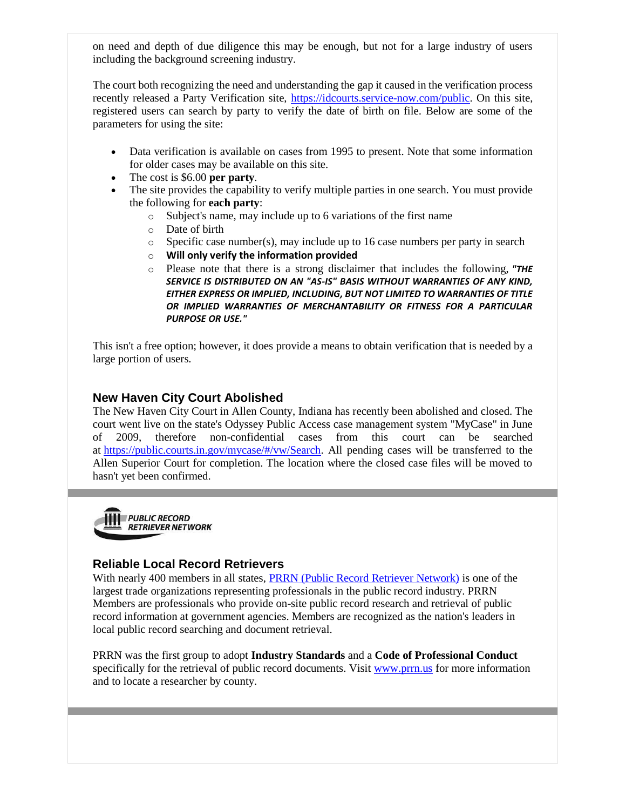on need and depth of due diligence this may be enough, but not for a large industry of users including the background screening industry.

The court both recognizing the need and understanding the gap it caused in the verification process recently released a Party Verification site, [https://idcourts.service-now.com/public.](http://r20.rs6.net/tn.jsp?t=gk6dpr5ab.0.0.zlhs65bab.0&id=preview&r=3&p=https%3A%2F%2Fidcourts.service-now.com%2Fpublic) On this site, registered users can search by party to verify the date of birth on file. Below are some of the parameters for using the site:

- Data verification is available on cases from 1995 to present. Note that some information for older cases may be available on this site.
- The cost is \$6.00 **per party**.
- The site provides the capability to verify multiple parties in one search. You must provide the following for **each party**:
	- o Subject's name, may include up to 6 variations of the first name
	- o Date of birth
	- o Specific case number(s), may include up to 16 case numbers per party in search
	- o **Will only verify the information provided**
	- o Please note that there is a strong disclaimer that includes the following, *"THE SERVICE IS DISTRIBUTED ON AN "AS-IS" BASIS WITHOUT WARRANTIES OF ANY KIND, EITHER EXPRESS OR IMPLIED, INCLUDING, BUT NOT LIMITED TO WARRANTIES OF TITLE OR IMPLIED WARRANTIES OF MERCHANTABILITY OR FITNESS FOR A PARTICULAR PURPOSE OR USE."*

This isn't a free option; however, it does provide a means to obtain verification that is needed by a large portion of users.

#### **New Haven City Court Abolished**

The New Haven City Court in Allen County, Indiana has recently been abolished and closed. The court went live on the state's Odyssey Public Access case management system "MyCase" in June of 2009, therefore non-confidential cases from this court can be searched at [https://public.courts.in.gov/mycase/#/vw/Search.](http://r20.rs6.net/tn.jsp?t=gk6dpr5ab.0.0.zlhs65bab.0&id=preview&r=3&p=https%3A%2F%2Fpublic.courts.in.gov%2Fmycase%2F%23%2Fvw%2FSearch) All pending cases will be transferred to the Allen Superior Court for completion. The location where the closed case files will be moved to hasn't yet been confirmed.



#### **Reliable Local Record Retrievers**

With nearly 400 members in all states, [PRRN \(Public Record Retriever Network\)](http://r20.rs6.net/tn.jsp?t=gk6dpr5ab.0.0.zlhs65bab.0&id=preview&r=3&p=http%3A%2F%2Fwww.prrn.us%2Fcontent%2FAbout.aspx) is one of the largest trade organizations representing professionals in the public record industry. PRRN Members are professionals who provide on-site public record research and retrieval of public record information at government agencies. Members are recognized as the nation's leaders in local public record searching and document retrieval.

PRRN was the first group to adopt **Industry Standards** and a **Code of Professional Conduct** specifically for the retrieval of public record documents. Visit [www.prrn.us](http://r20.rs6.net/tn.jsp?t=gk6dpr5ab.0.0.zlhs65bab.0&id=preview&r=3&p=http%3A%2F%2Fwww.prrn.us%2F) for more information and to locate a researcher by county.